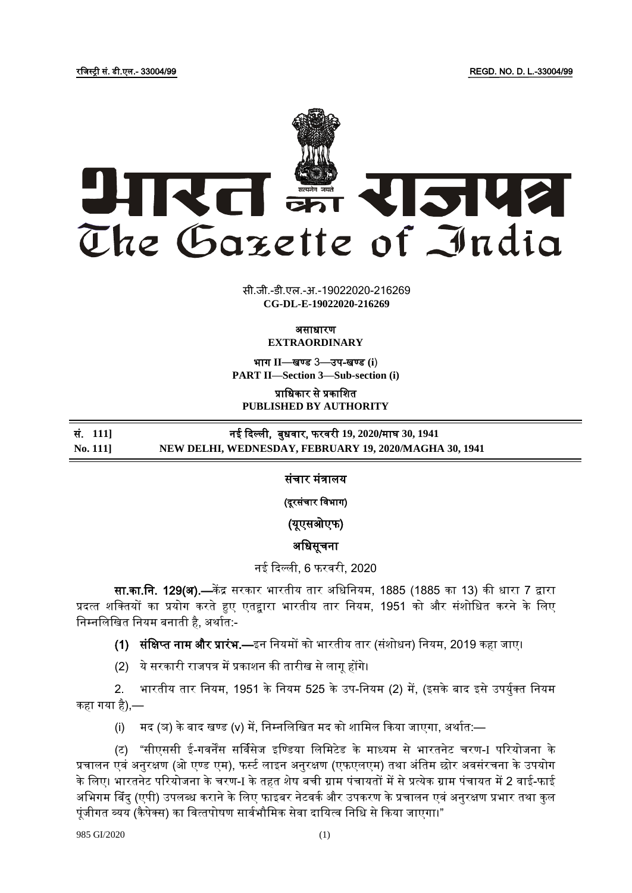रजिस्ट्री सं. डी.एल.- 33004/99 REGD. NO. D. L.-33004/99



सी.जी.-डी.एल.-अ.-19022020-216269 **xxxGIDExxx CG-DL-E-19022020-216269**

> असाधारण **EXTRAORDINARY**

भाग **II**—खण् ड 3—उप-खण् ड **(i**) **PART II—Section 3—Sub-section (i)**

प्राजधकार से प्रकाजित **PUBLISHED BY AUTHORITY**

## सं. 111] नई दिल्ली, बुधवार, फरवरी 19, 2020/माघ 30, 1941 **No. 111] NEW DELHI, WEDNESDAY, FEBRUARY 19, 2020/MAGHA 30, 1941**

संचार मंत्रालय

(दूरसंचार जिभाग)

(यूएसओएफ)

अजधसूचना

नई ददल्ली, 6 फरिरी, 2020

सा.का.नि. 129(अ).—केंद्र सरकार भारतीय तार अधिनियम, 1885 (1885 का 13) की धारा 7 द्वारा प्रदत्त शक्तियों का प्रयोग करते हुए एतद्वारा भारतीय तार नियम, 1951 को और संशोधित करने के लिए निम्नलिखित नियम बनाती है, अर्थात:-

(1) संक्षिप्त नाम और प्रारंभ.—इन नियमों को भारतीय तार (संशोधन) नियम, 2019 कहा जाए।

(2) ये सरकारी राजपत्र में प्रकाशन की तारीख से लागू होंगे।

2. भारतीय तार नियम, 1951 के नियम 525 के उप-नियम (2) में, (इसके बाद इसे उपर्युक्त नियम कहा गया है),—

(i) मद (ञ) के बाद खण्ड (v) में, निम्नलिखित मद को शामिल किया जाएगा, अर्थात:—

(ट) "सीएससी ई-गवर्नेंस सर्विसेज इण्डिया लिमिटेड के माध्यम से भारतनेट चरण-I परियोजना के प्रचालन एवं अनुरक्षण (ओ एण्ड एम), फर्स्ट लाइन अनुरक्षण (एफएलएम) तथा अंतिम छोर अवसंरचना के उपयोग के लिए। भारतनेट परियोजना के चरण-I के तहत शेष बची ग्राम पंचायतों में से प्रत्येक ग्राम पंचायत में 2 वाई-फाई अभिगम बिंदु (एपी) उपलब्ध कराने के लिए फाइबर नेटवर्क और उपकरण के प्रचालन एवं अनुरक्षण प्रभार तथा कुल पूंजीगत व्यय (कैपेक्स) का वित्तपोषण सार्वभौमिक सेवा दायित्व निधि से किया जाएगा।"

985 GI/2020 (1)